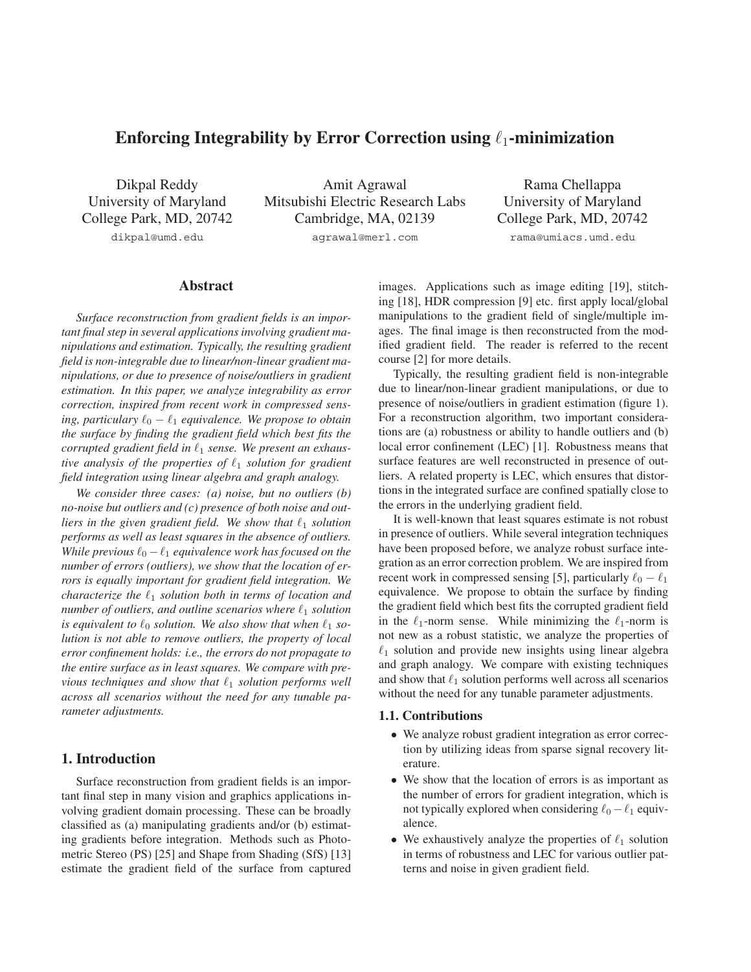# **Enforcing Integrability by Error Correction using**  $\ell_1$ **-minimization**

Dikpal Reddy University of Maryland College Park, MD, 20742 dikpal@umd.edu

Amit Agrawal Mitsubishi Electric Research Labs Cambridge, MA, 02139 agrawal@merl.com

Rama Chellappa University of Maryland College Park, MD, 20742 rama@umiacs.umd.edu

# **Abstract**

*Surface reconstruction from gradient fields is an important final step in several applications involving gradient manipulations and estimation. Typically, the resulting gradient field is non-integrable due to linear/non-linear gradient manipulations, or due to presence of noise/outliers in gradient estimation. In this paper, we analyze integrability as error correction, inspired from recent work in compressed sens-* $\omega$  ing, particulary  $\ell_0 - \ell_1$  equivalence. We propose to obtain *the surface by finding the gradient field which best fits the corrupted gradient field in*  $\ell_1$  *sense. We present an exhaus*tive analysis of the properties of  $\ell_1$  solution for gradient *field integration using linear algebra and graph analogy.*

*We consider three cases: (a) noise, but no outliers (b) no-noise but outliers and (c) presence of both noise and out* $l$ *iers in the given gradient field. We show that*  $\ell_1$  *solution performs as well as least squares in the absence of outliers. While previous*  $\ell_0 - \ell_1$  *equivalence work has focused on the number of errors (outliers), we show that the location of errors is equally important for gradient field integration. We characterize the*  $\ell_1$  *solution both in terms of location and*  $n$ umber of outliers, and outline scenarios where  $\ell_1$  solution is equivalent to  $\ell_0$  solution. We also show that when  $\ell_1$  so*lution is not able to remove outliers, the property of local error confinement holds: i.e., the errors do not propagate to the entire surface as in least squares. We compare with pre-* $\nu$ *ious techniques and show that*  $\ell_1$  *solution performs well across all scenarios without the need for any tunable parameter adjustments.*

# **1. Introduction**

Surface reconstruction from gradient fields is an important final step in many vision and graphics applications involving gradient domain processing. These can be broadly classified as (a) manipulating gradients and/or (b) estimating gradients before integration. Methods such as Photometric Stereo (PS) [25] and Shape from Shading (SfS) [13] estimate the gradient field of the surface from captured images. Applications such as image editing [19], stitching [18], HDR compression [9] etc. first apply local/global manipulations to the gradient field of single/multiple images. The final image is then reconstructed from the modified gradient field. The reader is referred to the recent course [2] for more details.

Typically, the resulting gradient field is non-integrable due to linear/non-linear gradient manipulations, or due to presence of noise/outliers in gradient estimation (figure 1). For a reconstruction algorithm, two important considerations are (a) robustness or ability to handle outliers and (b) local error confinement (LEC) [1]. Robustness means that surface features are well reconstructed in presence of outliers. A related property is LEC, which ensures that distortions in the integrated surface are confined spatially close to the errors in the underlying gradient field.

It is well-known that least squares estimate is not robust in presence of outliers. While several integration techniques have been proposed before, we analyze robust surface integration as an error correction problem. We are inspired from recent work in compressed sensing [5], particularly  $\ell_0 - \ell_1$ equivalence. We propose to obtain the surface by finding the gradient field which best fits the corrupted gradient field in the  $\ell_1$ -norm sense. While minimizing the  $\ell_1$ -norm is not new as a robust statistic, we analyze the properties of  $\ell_1$  solution and provide new insights using linear algebra and graph analogy. We compare with existing techniques and show that  $\ell_1$  solution performs well across all scenarios without the need for any tunable parameter adjustments.

#### **1.1. Contributions**

- We analyze robust gradient integration as error correction by utilizing ideas from sparse signal recovery literature.
- We show that the location of errors is as important as the number of errors for gradient integration, which is not typically explored when considering  $\ell_0 - \ell_1$  equivalence.
- We exhaustively analyze the properties of  $\ell_1$  solution in terms of robustness and LEC for various outlier patterns and noise in given gradient field.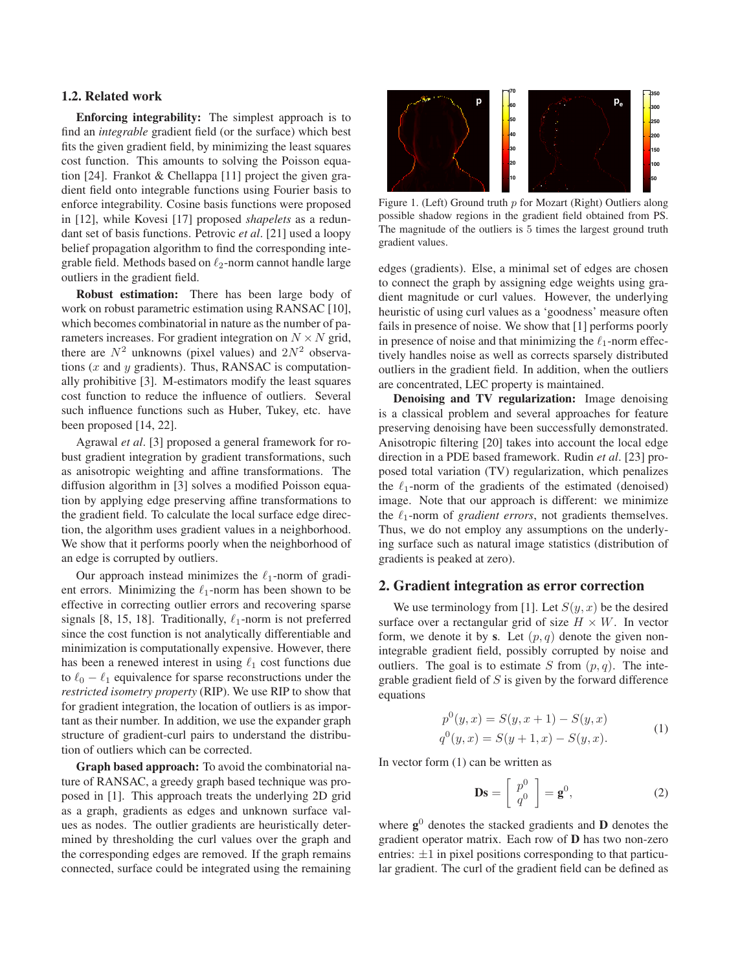#### **1.2. Related work**

**Enforcing integrability:** The simplest approach is to find an *integrable* gradient field (or the surface) which best fits the given gradient field, by minimizing the least squares cost function. This amounts to solving the Poisson equation [24]. Frankot & Chellappa [11] project the given gradient field onto integrable functions using Fourier basis to enforce integrability. Cosine basis functions were proposed in [12], while Kovesi [17] proposed *shapelets* as a redundant set of basis functions. Petrovic *et al*. [21] used a loopy belief propagation algorithm to find the corresponding integrable field. Methods based on  $\ell_2$ -norm cannot handle large outliers in the gradient field.

**Robust estimation:** There has been large body of work on robust parametric estimation using RANSAC [10], which becomes combinatorial in nature as the number of parameters increases. For gradient integration on  $N \times N$  grid, there are  $N^2$  unknowns (pixel values) and  $2N^2$  observations ( $x$  and  $y$  gradients). Thus, RANSAC is computationally prohibitive [3]. M-estimators modify the least squares cost function to reduce the influence of outliers. Several such influence functions such as Huber, Tukey, etc. have been proposed [14, 22].

Agrawal *et al*. [3] proposed a general framework for robust gradient integration by gradient transformations, such as anisotropic weighting and affine transformations. The diffusion algorithm in [3] solves a modified Poisson equation by applying edge preserving affine transformations to the gradient field. To calculate the local surface edge direction, the algorithm uses gradient values in a neighborhood. We show that it performs poorly when the neighborhood of an edge is corrupted by outliers.

Our approach instead minimizes the  $\ell_1$ -norm of gradient errors. Minimizing the  $\ell_1$ -norm has been shown to be effective in correcting outlier errors and recovering sparse signals [8, 15, 18]. Traditionally,  $\ell_1$ -norm is not preferred since the cost function is not analytically differentiable and minimization is computationally expensive. However, there has been a renewed interest in using  $\ell_1$  cost functions due to  $\ell_0 - \ell_1$  equivalence for sparse reconstructions under the *restricted isometry property* (RIP). We use RIP to show that for gradient integration, the location of outliers is as important as their number. In addition, we use the expander graph structure of gradient-curl pairs to understand the distribution of outliers which can be corrected.

**Graph based approach:** To avoid the combinatorial nature of RANSAC, a greedy graph based technique was proposed in [1]. This approach treats the underlying 2D grid as a graph, gradients as edges and unknown surface values as nodes. The outlier gradients are heuristically determined by thresholding the curl values over the graph and the corresponding edges are removed. If the graph remains connected, surface could be integrated using the remaining



Figure 1. (Left) Ground truth  $p$  for Mozart (Right) Outliers along possible shadow regions in the gradient field obtained from PS. The magnitude of the outliers is 5 times the largest ground truth gradient values.

edges (gradients). Else, a minimal set of edges are chosen to connect the graph by assigning edge weights using gradient magnitude or curl values. However, the underlying heuristic of using curl values as a 'goodness' measure often fails in presence of noise. We show that [1] performs poorly in presence of noise and that minimizing the  $\ell_1$ -norm effectively handles noise as well as corrects sparsely distributed outliers in the gradient field. In addition, when the outliers are concentrated, LEC property is maintained.

**Denoising and TV regularization:** Image denoising is a classical problem and several approaches for feature preserving denoising have been successfully demonstrated. Anisotropic filtering [20] takes into account the local edge direction in a PDE based framework. Rudin *et al*. [23] proposed total variation (TV) regularization, which penalizes the  $\ell_1$ -norm of the gradients of the estimated (denoised) image. Note that our approach is different: we minimize the  $\ell_1$ -norm of *gradient errors*, not gradients themselves. Thus, we do not employ any assumptions on the underlying surface such as natural image statistics (distribution of gradients is peaked at zero).

## **2. Gradient integration as error correction**

We use terminology from [1]. Let  $S(y, x)$  be the desired surface over a rectangular grid of size  $H \times W$ . In vector form, we denote it by **s**. Let  $(p, q)$  denote the given nonintegrable gradient field, possibly corrupted by noise and outliers. The goal is to estimate S from  $(p, q)$ . The integrable gradient field of  $S$  is given by the forward difference equations

$$
p^{0}(y,x) = S(y,x+1) - S(y,x)
$$
  
\n
$$
q^{0}(y,x) = S(y+1,x) - S(y,x).
$$
\n(1)

In vector form (1) can be written as

$$
\mathbf{Ds} = \left[ \begin{array}{c} p^0 \\ q^0 \end{array} \right] = \mathbf{g}^0, \tag{2}
$$

where  $g^0$  denotes the stacked gradients and **D** denotes the gradient operator matrix. Each row of **D** has two non-zero entries:  $\pm 1$  in pixel positions corresponding to that particular gradient. The curl of the gradient field can be defined as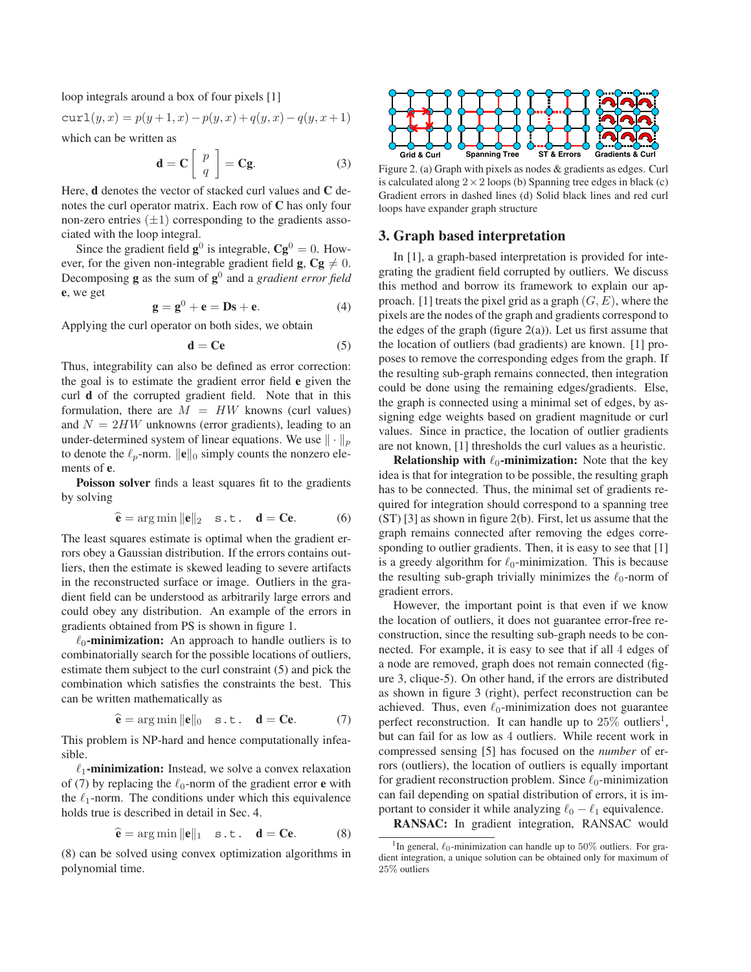loop integrals around a box of four pixels [1]

$$
curl(y, x) = p(y+1, x) - p(y, x) + q(y, x) - q(y, x+1)
$$
  
which can be written as

which can be written as

$$
\mathbf{d} = \mathbf{C} \left[ \begin{array}{c} p \\ q \end{array} \right] = \mathbf{Cg}.
$$
 (3)

Here, **d** denotes the vector of stacked curl values and **C** denotes the curl operator matrix. Each row of **C** has only four non-zero entries  $(\pm 1)$  corresponding to the gradients associated with the loop integral.

Since the gradient field  $\mathbf{g}^0$  is integrable,  $\mathbf{C}\mathbf{g}^0 = 0$ . However, for the given non-integrable gradient field **g**,  $Cg \neq 0$ .<br>Decomposing **g** as the sum of  $g^0$  and a *gradient error field* Decomposing **g** as the sum of **g**<sup>0</sup> and a *gradient error field* **e**, we get

$$
\mathbf{g} = \mathbf{g}^0 + \mathbf{e} = \mathbf{D}\mathbf{s} + \mathbf{e}.\tag{4}
$$

Applying the curl operator on both sides, we obtain

$$
\mathbf{d} = \mathbf{C}\mathbf{e} \tag{5}
$$

Thus, integrability can also be defined as error correction: the goal is to estimate the gradient error field **e** given the curl **d** of the corrupted gradient field. Note that in this formulation, there are  $M = HW$  knowns (curl values) and  $N = 2HW$  unknowns (error gradients), leading to an under-determined system of linear equations. We use  $\|\cdot\|_p$ to denote the  $\ell_p$ -norm.  $\|\mathbf{e}\|_0$  simply counts the nonzero elements of **e**.

**Poisson solver** finds a least squares fit to the gradients by solving

$$
\hat{\mathbf{e}} = \arg \min ||\mathbf{e}||_2 \quad \text{s.t.} \quad \mathbf{d} = \mathbf{C}\mathbf{e}.\tag{6}
$$

The least squares estimate is optimal when the gradient errors obey a Gaussian distribution. If the errors contains outliers, then the estimate is skewed leading to severe artifacts in the reconstructed surface or image. Outliers in the gradient field can be understood as arbitrarily large errors and could obey any distribution. An example of the errors in gradients obtained from PS is shown in figure 1.

 $\ell_0$ -minimization: An approach to handle outliers is to combinatorially search for the possible locations of outliers, estimate them subject to the curl constraint (5) and pick the combination which satisfies the constraints the best. This can be written mathematically as

$$
\hat{\mathbf{e}} = \arg \min ||\mathbf{e}||_0 \quad \text{s.t.} \quad \mathbf{d} = \mathbf{C}\mathbf{e}. \tag{7}
$$

This problem is NP-hard and hence computationally infeasible.

 $\ell_1$ -minimization: Instead, we solve a convex relaxation of (7) by replacing the  $\ell_0$ -norm of the gradient error **e** with the  $\ell_1$ -norm. The conditions under which this equivalence holds true is described in detail in Sec. 4.

$$
\hat{\mathbf{e}} = \arg \min ||\mathbf{e}||_1 \quad \text{s.t.} \quad \mathbf{d} = \mathbf{C}\mathbf{e}.
$$
 (8)

(8) can be solved using convex optimization algorithms in polynomial time.



Figure 2. (a) Graph with pixels as nodes & gradients as edges. Curl is calculated along  $2 \times 2$  loops (b) Spanning tree edges in black (c) Gradient errors in dashed lines (d) Solid black lines and red curl loops have expander graph structure

# **3. Graph based interpretation**

In [1], a graph-based interpretation is provided for integrating the gradient field corrupted by outliers. We discuss this method and borrow its framework to explain our approach. [1] treats the pixel grid as a graph  $(G, E)$ , where the pixels are the nodes of the graph and gradients correspond to the edges of the graph (figure  $2(a)$ ). Let us first assume that the location of outliers (bad gradients) are known. [1] proposes to remove the corresponding edges from the graph. If the resulting sub-graph remains connected, then integration could be done using the remaining edges/gradients. Else, the graph is connected using a minimal set of edges, by assigning edge weights based on gradient magnitude or curl values. Since in practice, the location of outlier gradients are not known, [1] thresholds the curl values as a heuristic.

**Relationship with**  $\ell_0$ **-minimization:** Note that the key idea is that for integration to be possible, the resulting graph has to be connected. Thus, the minimal set of gradients required for integration should correspond to a spanning tree (ST) [3] as shown in figure 2(b). First, let us assume that the graph remains connected after removing the edges corresponding to outlier gradients. Then, it is easy to see that [1] is a greedy algorithm for  $\ell_0$ -minimization. This is because the resulting sub-graph trivially minimizes the  $\ell_0$ -norm of gradient errors.

However, the important point is that even if we know the location of outliers, it does not guarantee error-free reconstruction, since the resulting sub-graph needs to be connected. For example, it is easy to see that if all 4 edges of a node are removed, graph does not remain connected (figure 3, clique-5). On other hand, if the errors are distributed as shown in figure 3 (right), perfect reconstruction can be achieved. Thus, even  $\ell_0$ -minimization does not guarantee perfect reconstruction. It can handle up to  $25\%$  outliers<sup>1</sup>, but can fail for as low as 4 outliers. While recent work in compressed sensing [5] has focused on the *number* of errors (outliers), the location of outliers is equally important for gradient reconstruction problem. Since  $\ell_0$ -minimization can fail depending on spatial distribution of errors, it is important to consider it while analyzing  $\ell_0 - \ell_1$  equivalence.

**RANSAC:** In gradient integration, RANSAC would

<sup>&</sup>lt;sup>1</sup>In general,  $\ell_0$ -minimization can handle up to 50% outliers. For gradient integration, a unique solution can be obtained only for maximum of 25% outliers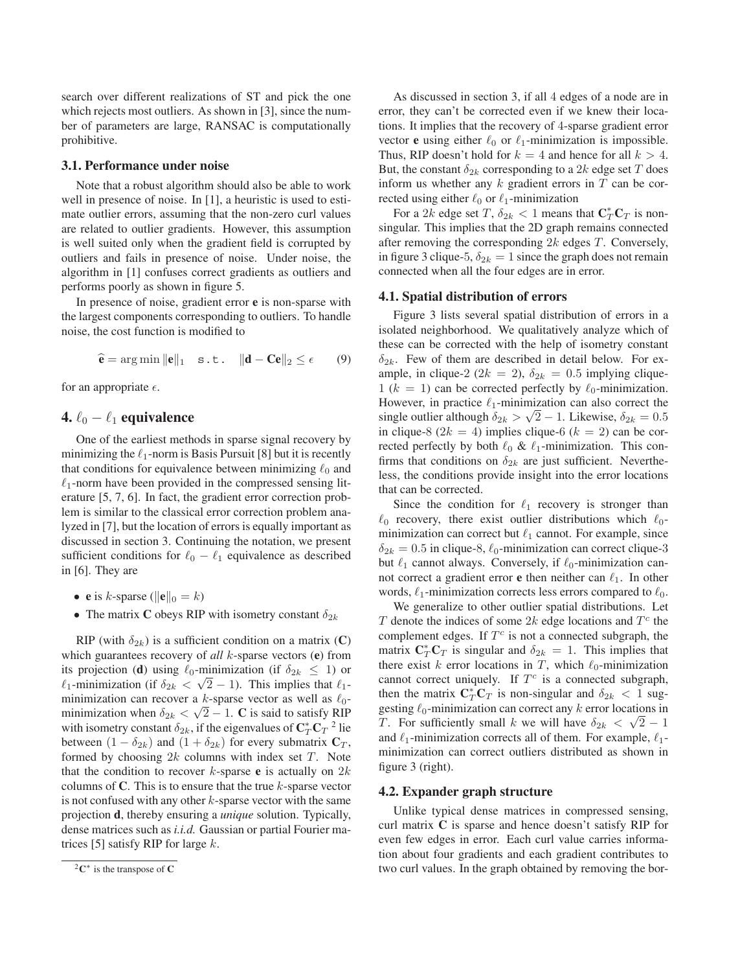search over different realizations of ST and pick the one which rejects most outliers. As shown in [3], since the number of parameters are large, RANSAC is computationally prohibitive.

#### **3.1. Performance under noise**

Note that a robust algorithm should also be able to work well in presence of noise. In [1], a heuristic is used to estimate outlier errors, assuming that the non-zero curl values are related to outlier gradients. However, this assumption is well suited only when the gradient field is corrupted by outliers and fails in presence of noise. Under noise, the algorithm in [1] confuses correct gradients as outliers and performs poorly as shown in figure 5.

In presence of noise, gradient error **e** is non-sparse with the largest components corresponding to outliers. To handle noise, the cost function is modified to

$$
\hat{\mathbf{e}} = \arg \min ||\mathbf{e}||_1
$$
 s.t.  $||\mathbf{d} - \mathbf{C}\mathbf{e}||_2 \le \epsilon$  (9)

for an appropriate  $\epsilon$ .

# **4.**  $\ell_0 - \ell_1$  **equivalence**

One of the earliest methods in sparse signal recovery by minimizing the  $\ell_1$ -norm is Basis Pursuit [8] but it is recently that conditions for equivalence between minimizing  $\ell_0$  and  $\ell_1$ -norm have been provided in the compressed sensing literature [5, 7, 6]. In fact, the gradient error correction problem is similar to the classical error correction problem analyzed in [7], but the location of errors is equally important as discussed in section 3. Continuing the notation, we present sufficient conditions for  $\ell_0 - \ell_1$  equivalence as described in [6]. They are

- **e** is *k*-sparse ( $\|\mathbf{e}\|_0 = k$ )
- The matrix **C** obeys RIP with isometry constant  $\delta_{2k}$

RIP (with  $\delta_{2k}$ ) is a sufficient condition on a matrix (**C**) which guarantees recovery of *all* k-sparse vectors (**e**) from its projection (**d**) using  $\ell_0$ -minimization (if  $\delta_{2k} \le 1$ ) or  $\ell_1$ -minimization (if  $\delta_{2k} \le \sqrt{2} - 1$ ). This implies that  $\ell_{12}$  $\ell_1$ -minimization (if  $\delta_{2k} < \sqrt{2} - 1$ ). This implies that  $\ell_1$ -<br>minimization can recover a k-sparse vector as well as  $\ell_2$ minimization can recover a k-sparse vector as well as  $\ell_0$ minimization when  $\delta_{2k} < \sqrt{2} - 1$ . **C** is said to satisfy RIP with isometry constant  $\delta_{2k}$ , if the eigenvalues of  $\mathbf{C}_T^* \mathbf{C}_T^{-2}$  lie between  $(1 - \delta_{2k})$  and  $(1 + \delta_{2k})$  for every submatrix  $C_T$ , formed by choosing  $2k$  columns with index set  $T$ . Note that the condition to recover  $k$ -sparse **e** is actually on  $2k$ columns of  $C$ . This is to ensure that the true  $k$ -sparse vector is not confused with any other  $k$ -sparse vector with the same projection **d**, thereby ensuring a *unique* solution. Typically, dense matrices such as *i.i.d.* Gaussian or partial Fourier matrices [5] satisfy RIP for large  $k$ .

As discussed in section 3, if all 4 edges of a node are in error, they can't be corrected even if we knew their locations. It implies that the recovery of 4-sparse gradient error vector **e** using either  $\ell_0$  or  $\ell_1$ -minimization is impossible. Thus, RIP doesn't hold for  $k = 4$  and hence for all  $k > 4$ . But, the constant  $\delta_{2k}$  corresponding to a 2k edge set T does inform us whether any  $k$  gradient errors in  $T$  can be corrected using either  $\ell_0$  or  $\ell_1$ -minimization

For a 2k edge set T,  $\delta_{2k} < 1$  means that  $\mathbf{C}_T^* \mathbf{C}_T$  is non-<br>qular. This implies that the 2D graph remains connected singular. This implies that the 2D graph remains connected after removing the corresponding  $2k$  edges  $T$ . Conversely, in figure 3 clique-5,  $\delta_{2k} = 1$  since the graph does not remain connected when all the four edges are in error.

#### **4.1. Spatial distribution of errors**

Figure 3 lists several spatial distribution of errors in a isolated neighborhood. We qualitatively analyze which of these can be corrected with the help of isometry constant  $\delta_{2k}$ . Few of them are described in detail below. For example, in clique-2 ( $2k = 2$ ),  $\delta_{2k} = 0.5$  implying clique- $1 (k = 1)$  can be corrected perfectly by  $\ell_0$ -minimization.<br>However, in practice  $\ell_1$ -minimization can also correct the However, in practice  $\ell_1$ -minimization can also correct the single outlier although  $\delta_{2k} > \sqrt{2} - 1$ . Likewise,  $\delta_{2k} = 0.5$ in clique-8 ( $2k = 4$ ) implies clique-6 ( $k = 2$ ) can be corrected perfectly by both  $\ell_0 \& \ell_1$ -minimization. This confirms that conditions on  $\delta_{2k}$  are just sufficient. Nevertheless, the conditions provide insight into the error locations that can be corrected.

Since the condition for  $\ell_1$  recovery is stronger than  $\ell_0$  recovery, there exist outlier distributions which  $\ell_0$ minimization can correct but  $\ell_1$  cannot. For example, since  $\delta_{2k} = 0.5$  in clique-8,  $\ell_0$ -minimization can correct clique-3<br>but  $\ell_1$  cannot always. Conversely, if  $\ell_2$ -minimization canbut  $\ell_1$  cannot always. Conversely, if  $\ell_0$ -minimization cannot correct a gradient error  $e$  then neither can  $\ell_1$ . In other words,  $\ell_1$ -minimization corrects less errors compared to  $\ell_0$ .

We generalize to other outlier spatial distributions. Let T denote the indices of some 2k edge locations and  $T<sup>c</sup>$  the complement edges. If  $T^c$  is not a connected subgraph, the matrix  $\mathbf{C}_T^* \mathbf{C}_T$  is singular and  $\delta_{2k} = 1$ . This implies that there exist k error locations in T, which  $\ell_0$ -minimization there exist k error locations in T, which  $\ell_0$ -minimization cannot correct uniquely. If  $T<sup>c</sup>$  is a connected subgraph, then the matrix  $\mathbf{C}_T^* \mathbf{C}_T$  is non-singular and  $\delta_{2k} < 1$  suggesting  $\ell_0$ -minimization can correct any k error locations in gesting  $\ell_0$ -minimization can correct any k error locations in T. For sufficiently small k we will have  $\delta_{2k} < \sqrt{2} - 1$ and  $\ell_1$ -minimization corrects all of them. For example,  $\ell_1$ minimization can correct outliers distributed as shown in figure 3 (right).

#### **4.2. Expander graph structure**

Unlike typical dense matrices in compressed sensing, curl matrix **C** is sparse and hence doesn't satisfy RIP for even few edges in error. Each curl value carries information about four gradients and each gradient contributes to two curl values. In the graph obtained by removing the bor-

<sup>2</sup>**C**<sup>∗</sup> is the transpose of **C**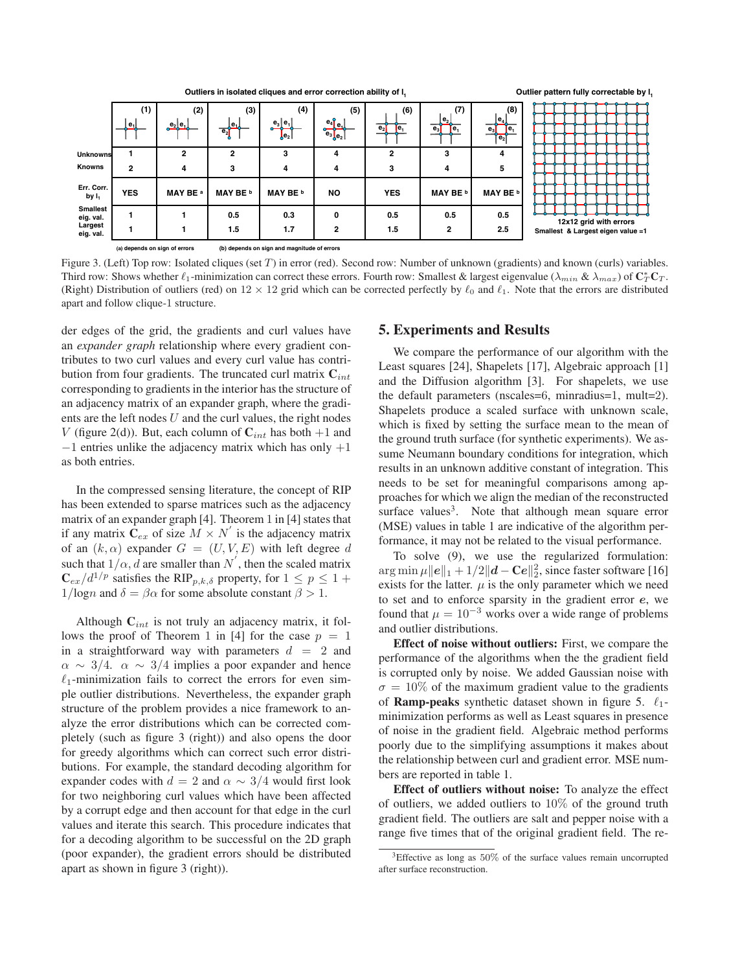

Figure 3. (Left) Top row: Isolated cliques (set T) in error (red). Second row: Number of unknown (gradients) and known (curls) variables. Third row: Shows whether  $\ell_1$ -minimization can correct these errors. Fourth row: Smallest & largest eigenvalue ( $\lambda_{min}$  &  $\lambda_{max}$ ) of  $\mathbb{C}^*_T \mathbb{C}_T$ . (Right) Distribution of outliers (red) on  $12 \times 12$  grid which can be corrected perfectly by  $\ell_0$  and  $\ell_1$ . Note that the errors are distributed apart and follow clique-1 structure.

der edges of the grid, the gradients and curl values have an *expander graph* relationship where every gradient contributes to two curl values and every curl value has contribution from four gradients. The truncated curl matrix  $C_{int}$ corresponding to gradients in the interior has the structure of an adjacency matrix of an expander graph, where the gradients are the left nodes  $U$  and the curl values, the right nodes V (figure 2(d)). But, each column of  $C_{int}$  has both  $+1$  and  $-1$  entries unlike the adjacency matrix which has only  $+1$ as both entries.

In the compressed sensing literature, the concept of RIP has been extended to sparse matrices such as the adjacency matrix of an expander graph [4]. Theorem 1 in [4] states that if any matrix  $\hat{\mathbf{C}}_{ex}$  of size  $M \times N'$  is the adjacency matrix of an  $(k, \alpha)$  expander  $G = (U, V, E)$  with left degree d such that  $1/\alpha$ , d are smaller than N', then the scaled matrix<br>  $\mathbf{C} = (d^{1/p})$  satisfies the RIP  $\alpha$ , a property for  $1 \leq \alpha \leq 1 + \alpha$  $\mathbf{C}_{ex}/d^{1/p}$  satisfies the RIP<sub>p,k,δ</sub> property, for  $1 \leq p \leq 1 +$  $1/logn$  and  $\delta = \beta \alpha$  for some absolute constant  $\beta > 1$ .

Although  $C_{int}$  is not truly an adjacency matrix, it follows the proof of Theorem 1 in [4] for the case  $p = 1$ in a straightforward way with parameters  $d = 2$  and  $\alpha \sim 3/4$ .  $\alpha \sim 3/4$  implies a poor expander and hence  $\ell_1$ -minimization fails to correct the errors for even simple outlier distributions. Nevertheless, the expander graph structure of the problem provides a nice framework to analyze the error distributions which can be corrected completely (such as figure 3 (right)) and also opens the door for greedy algorithms which can correct such error distributions. For example, the standard decoding algorithm for expander codes with  $d = 2$  and  $\alpha \sim 3/4$  would first look for two neighboring curl values which have been affected by a corrupt edge and then account for that edge in the curl values and iterate this search. This procedure indicates that for a decoding algorithm to be successful on the 2D graph (poor expander), the gradient errors should be distributed apart as shown in figure 3 (right)).

#### **5. Experiments and Results**

We compare the performance of our algorithm with the Least squares [24], Shapelets [17], Algebraic approach [1] and the Diffusion algorithm [3]. For shapelets, we use the default parameters (nscales=6, minradius=1, mult=2). Shapelets produce a scaled surface with unknown scale, which is fixed by setting the surface mean to the mean of the ground truth surface (for synthetic experiments). We assume Neumann boundary conditions for integration, which results in an unknown additive constant of integration. This needs to be set for meaningful comparisons among approaches for which we align the median of the reconstructed surface values<sup>3</sup>. Note that although mean square error (MSE) values in table 1 are indicative of the algorithm performance, it may not be related to the visual performance.

To solve (9), we use the regularized formulation:  $\arg \min \mu ||e||_1 + 1/2 ||d - Ce||_2^2$ , since faster software [16] exists for the latter  $\mu$  is the only parameter which we need exists for the latter.  $\mu$  is the only parameter which we need to set and to enforce sparsity in the gradient error *e*, we found that  $\mu = 10^{-3}$  works over a wide range of problems and outlier distributions.

**Effect of noise without outliers:** First, we compare the performance of the algorithms when the the gradient field is corrupted only by noise. We added Gaussian noise with  $\sigma = 10\%$  of the maximum gradient value to the gradients of **Ramp-peaks** synthetic dataset shown in figure 5.  $\ell_1$ minimization performs as well as Least squares in presence of noise in the gradient field. Algebraic method performs poorly due to the simplifying assumptions it makes about the relationship between curl and gradient error. MSE numbers are reported in table 1.

**Effect of outliers without noise:** To analyze the effect of outliers, we added outliers to  $10\%$  of the ground truth gradient field. The outliers are salt and pepper noise with a range five times that of the original gradient field. The re-

<sup>3</sup>Effective as long as 50% of the surface values remain uncorrupted after surface reconstruction.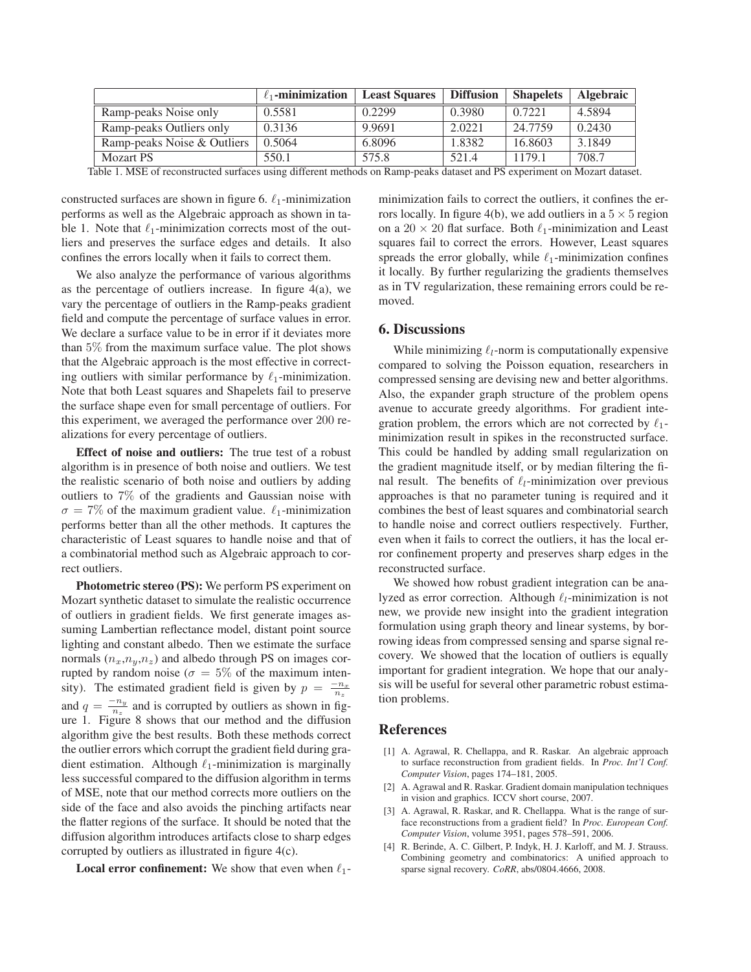|                             | $\ell_1$ -minimization | <b>Least Squares</b> | <b>Diffusion</b> | <b>Shapelets</b> | <b>Algebraic</b> |
|-----------------------------|------------------------|----------------------|------------------|------------------|------------------|
| Ramp-peaks Noise only       | 0.5581                 | 0.2299               | 0.3980           | 0.7221           | 4.5894           |
| Ramp-peaks Outliers only    | 0.3136                 | 9.9691               | 2.0221           | 24.7759          | 0.2430           |
| Ramp-peaks Noise & Outliers | 0.5064                 | 6.8096               | 1.8382           | 16.8603          | 3.1849           |
| <b>Mozart PS</b>            | 550.1                  | 575.8                | 521.4            | 1179.1           | 708.7            |

Table 1. MSE of reconstructed surfaces using different methods on Ramp-peaks dataset and PS experiment on Mozart dataset.

constructed surfaces are shown in figure 6.  $\ell_1$ -minimization performs as well as the Algebraic approach as shown in table 1. Note that  $\ell_1$ -minimization corrects most of the outliers and preserves the surface edges and details. It also confines the errors locally when it fails to correct them.

We also analyze the performance of various algorithms as the percentage of outliers increase. In figure  $4(a)$ , we vary the percentage of outliers in the Ramp-peaks gradient field and compute the percentage of surface values in error. We declare a surface value to be in error if it deviates more than 5% from the maximum surface value. The plot shows that the Algebraic approach is the most effective in correcting outliers with similar performance by  $\ell_1$ -minimization. Note that both Least squares and Shapelets fail to preserve the surface shape even for small percentage of outliers. For this experiment, we averaged the performance over 200 realizations for every percentage of outliers.

**Effect of noise and outliers:** The true test of a robust algorithm is in presence of both noise and outliers. We test the realistic scenario of both noise and outliers by adding outliers to 7% of the gradients and Gaussian noise with  $\sigma = 7\%$  of the maximum gradient value.  $\ell_1$ -minimization<br>performs better than all the other methods. It cantures the performs better than all the other methods. It captures the characteristic of Least squares to handle noise and that of a combinatorial method such as Algebraic approach to correct outliers.

**Photometric stereo (PS):** We perform PS experiment on Mozart synthetic dataset to simulate the realistic occurrence of outliers in gradient fields. We first generate images assuming Lambertian reflectance model, distant point source lighting and constant albedo. Then we estimate the surface normals  $(n_x,n_y,n_z)$  and albedo through PS on images corrupted by random noise ( $\sigma = 5\%$  of the maximum intensity). The estimated gradient field is given by  $p = \frac{-n_x}{n_z}$ and  $q = \frac{-n_y}{n_z}$  and is corrupted by outliers as shown in figure 1. Figure 8 shows that our method and the diffusion algorithm give the best results. Both these methods correct the outlier errors which corrupt the gradient field during gradient estimation. Although  $\ell_1$ -minimization is marginally less successful compared to the diffusion algorithm in terms of MSE, note that our method corrects more outliers on the side of the face and also avoids the pinching artifacts near the flatter regions of the surface. It should be noted that the diffusion algorithm introduces artifacts close to sharp edges corrupted by outliers as illustrated in figure 4(c).

**Local error confinement:** We show that even when  $\ell_1$ -

minimization fails to correct the outliers, it confines the errors locally. In figure 4(b), we add outliers in a  $5 \times 5$  region on a  $20 \times 20$  flat surface. Both  $\ell_1$ -minimization and Least squares fail to correct the errors. However, Least squares spreads the error globally, while  $\ell_1$ -minimization confines it locally. By further regularizing the gradients themselves as in TV regularization, these remaining errors could be removed.

## **6. Discussions**

While minimizing  $\ell_l$ -norm is computationally expensive compared to solving the Poisson equation, researchers in compressed sensing are devising new and better algorithms. Also, the expander graph structure of the problem opens avenue to accurate greedy algorithms. For gradient integration problem, the errors which are not corrected by  $\ell_1$ minimization result in spikes in the reconstructed surface. This could be handled by adding small regularization on the gradient magnitude itself, or by median filtering the final result. The benefits of  $\ell_l$ -minimization over previous approaches is that no parameter tuning is required and it combines the best of least squares and combinatorial search to handle noise and correct outliers respectively. Further, even when it fails to correct the outliers, it has the local error confinement property and preserves sharp edges in the reconstructed surface.

We showed how robust gradient integration can be analyzed as error correction. Although  $\ell_l$ -minimization is not new, we provide new insight into the gradient integration formulation using graph theory and linear systems, by borrowing ideas from compressed sensing and sparse signal recovery. We showed that the location of outliers is equally important for gradient integration. We hope that our analysis will be useful for several other parametric robust estimation problems.

# **References**

- [1] A. Agrawal, R. Chellappa, and R. Raskar. An algebraic approach to surface reconstruction from gradient fields. In *Proc. Int'l Conf. Computer Vision*, pages 174–181, 2005.
- [2] A. Agrawal and R. Raskar. Gradient domain manipulation techniques in vision and graphics. ICCV short course, 2007.
- [3] A. Agrawal, R. Raskar, and R. Chellappa. What is the range of surface reconstructions from a gradient field? In *Proc. European Conf. Computer Vision*, volume 3951, pages 578–591, 2006.
- [4] R. Berinde, A. C. Gilbert, P. Indyk, H. J. Karloff, and M. J. Strauss. Combining geometry and combinatorics: A unified approach to sparse signal recovery. *CoRR*, abs/0804.4666, 2008.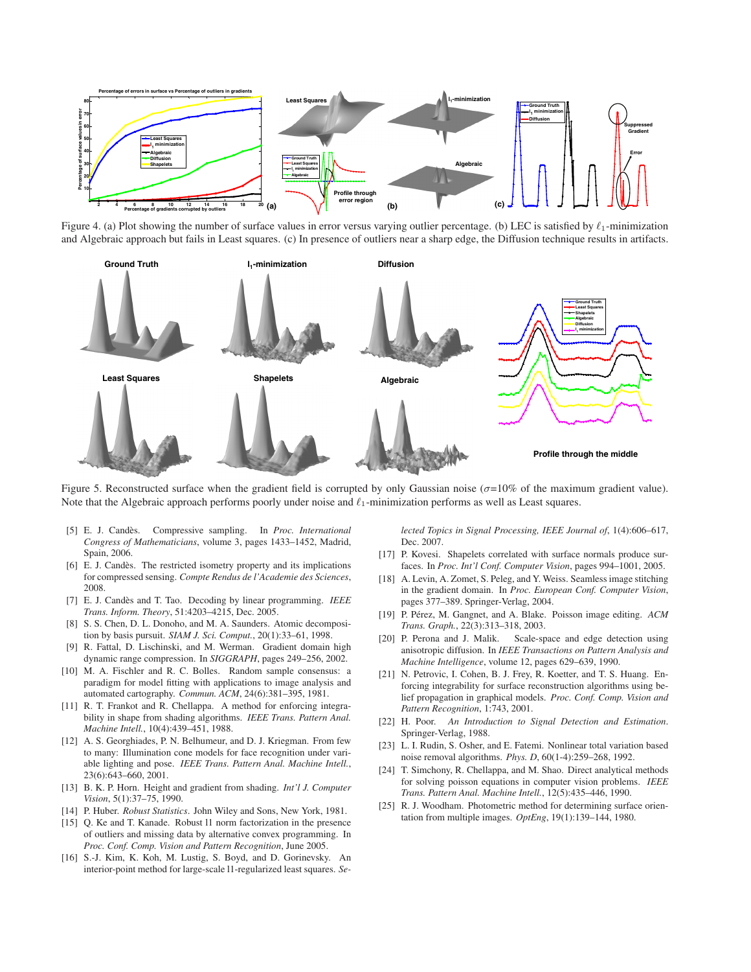

Figure 4. (a) Plot showing the number of surface values in error versus varying outlier percentage. (b) LEC is satisfied by  $\ell_1$ -minimization and Algebraic approach but fails in Least squares. (c) In presence of outliers near a sharp edge, the Diffusion technique results in artifacts.



Figure 5. Reconstructed surface when the gradient field is corrupted by only Gaussian noise ( $\sigma$ =10% of the maximum gradient value). Note that the Algebraic approach performs poorly under noise and  $\ell_1$ -minimization performs as well as Least squares.

- [5] E. J. Candes. Compressive sampling. In ` *Proc. International Congress of Mathematicians*, volume 3, pages 1433–1452, Madrid, Spain, 2006.
- [6] E. J. Candès. The restricted isometry property and its implications for compressed sensing. *Compte Rendus de l'Academie des Sciences*, 2008.
- [7] E. J. Candes and T. Tao. Decoding by linear programming. ` *IEEE Trans. Inform. Theory*, 51:4203–4215, Dec. 2005.
- [8] S. S. Chen, D. L. Donoho, and M. A. Saunders. Atomic decomposition by basis pursuit. *SIAM J. Sci. Comput.*, 20(1):33–61, 1998.
- R. Fattal, D. Lischinski, and M. Werman. Gradient domain high dynamic range compression. In *SIGGRAPH*, pages 249–256, 2002.
- [10] M. A. Fischler and R. C. Bolles. Random sample consensus: a paradigm for model fitting with applications to image analysis and automated cartography. *Commun. ACM*, 24(6):381–395, 1981.
- [11] R. T. Frankot and R. Chellappa. A method for enforcing integrability in shape from shading algorithms. *IEEE Trans. Pattern Anal. Machine Intell.*, 10(4):439–451, 1988.
- [12] A. S. Georghiades, P. N. Belhumeur, and D. J. Kriegman. From few to many: Illumination cone models for face recognition under variable lighting and pose. *IEEE Trans. Pattern Anal. Machine Intell.*, 23(6):643–660, 2001.
- [13] B. K. P. Horn. Height and gradient from shading. *Int'l J. Computer Vision*, 5(1):37–75, 1990.
- [14] P. Huber. *Robust Statistics*. John Wiley and Sons, New York, 1981.
- [15] Q. Ke and T. Kanade. Robust 11 norm factorization in the presence of outliers and missing data by alternative convex programming. In *Proc. Conf. Comp. Vision and Pattern Recognition*, June 2005.
- [16] S.-J. Kim, K. Koh, M. Lustig, S. Boyd, and D. Gorinevsky. An interior-point method for large-scale l1-regularized least squares. *Se-*

*lected Topics in Signal Processing, IEEE Journal of*, 1(4):606–617, Dec. 2007.

- [17] P. Kovesi. Shapelets correlated with surface normals produce surfaces. In *Proc. Int'l Conf. Computer Vision*, pages 994–1001, 2005.
- [18] A. Levin, A. Zomet, S. Peleg, and Y. Weiss. Seamless image stitching in the gradient domain. In *Proc. European Conf. Computer Vision*, pages 377–389. Springer-Verlag, 2004.
- [19] P. Pérez, M. Gangnet, and A. Blake. Poisson image editing.  $ACM$ *Trans. Graph.*, 22(3):313–318, 2003.
- [20] P. Perona and J. Malik. Scale-space and edge detection using anisotropic diffusion. In *IEEE Transactions on Pattern Analysis and Machine Intelligence*, volume 12, pages 629–639, 1990.
- [21] N. Petrovic, I. Cohen, B. J. Frey, R. Koetter, and T. S. Huang. Enforcing integrability for surface reconstruction algorithms using belief propagation in graphical models. *Proc. Conf. Comp. Vision and Pattern Recognition*, 1:743, 2001.
- [22] H. Poor. *An Introduction to Signal Detection and Estimation*. Springer-Verlag, 1988.
- [23] L. I. Rudin, S. Osher, and E. Fatemi. Nonlinear total variation based noise removal algorithms. *Phys. D*, 60(1-4):259–268, 1992.
- [24] T. Simchony, R. Chellappa, and M. Shao. Direct analytical methods for solving poisson equations in computer vision problems. *IEEE Trans. Pattern Anal. Machine Intell.*, 12(5):435–446, 1990.
- [25] R. J. Woodham. Photometric method for determining surface orientation from multiple images. *OptEng*, 19(1):139–144, 1980.